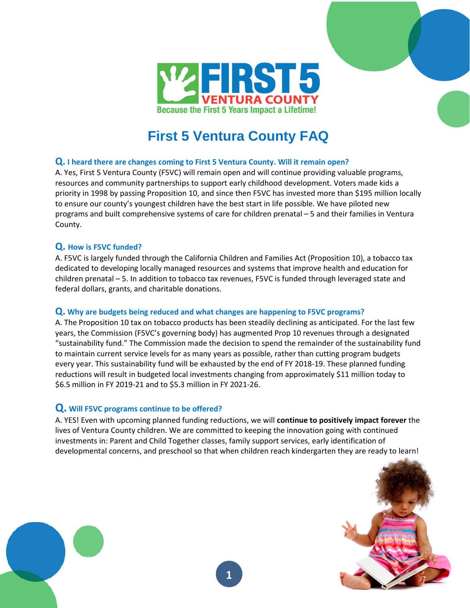

# **First 5 Ventura County FAQ**

## **Q. I heard there are changes coming to First 5 Ventura County. Will it remain open?**

A. Yes, First 5 Ventura County (F5VC) will remain open and will continue providing valuable programs, resources and community partnerships to support early childhood development. Voters made kids a priority in 1998 by passing Proposition 10, and since then F5VC has invested more than \$195 million locally to ensure our county's youngest children have the best start in life possible. We have piloted new programs and built comprehensive systems of care for children prenatal – 5 and their families in Ventura County.

## **Q. How is F5VC funded?**

A. F5VC is largely funded through the California Children and Families Act (Proposition 10), a tobacco tax dedicated to developing locally managed resources and systems that improve health and education for children prenatal – 5. In addition to tobacco tax revenues, F5VC is funded through leveraged state and federal dollars, grants, and charitable donations.

### **Q. Why are budgets being reduced and what changes are happening to F5VC programs?**

A. The Proposition 10 tax on tobacco products has been steadily declining as anticipated. For the last few years, the Commission (F5VC's governing body) has augmented Prop 10 revenues through a designated "sustainability fund." The Commission made the decision to spend the remainder of the sustainability fund to maintain current service levels for as many years as possible, rather than cutting program budgets every year. This sustainability fund will be exhausted by the end of FY 2018-19. These planned funding reductions will result in budgeted local investments changing from approximately \$11 million today to \$6.5 million in FY 2019-21 and to \$5.3 million in FY 2021-26.

## **Q. Will F5VC programs continue to be offered?**

A. YES! Even with upcoming planned funding reductions, we will **continue to positively impact forever** the lives of Ventura County children. We are committed to keeping the innovation going with continued investments in: Parent and Child Together classes, family support services, early identification of developmental concerns, and preschool so that when children reach kindergarten they are ready to learn!

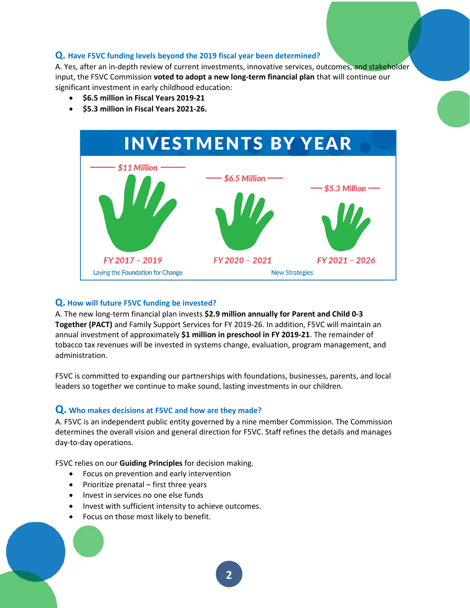### **Q. Have F5VC funding levels beyond the 2019 fiscal year been determined?**

A. Yes, after an in-depth review of current investments, innovative services, outcomes, and stakeholder input, the F5VC Commission **voted to adopt a new long-term financial plan** that will continue our significant investment in early childhood education:

- **\$6.5 million in Fiscal Years 2019-21**
- **\$5.3 million in Fiscal Years 2021-26.**



#### **Q. How will future F5VC funding be invested?**

A. The new long-term financial plan invests **\$2.9 million annually for Parent and Child 0-3 Together (PACT)** and Family Support Services for FY 2019-26. In addition, F5VC will maintain an annual investment of approximately **\$1 million in preschool in FY 2019-21**. The remainder of tobacco tax revenues will be invested in systems change, evaluation, program management, and administration.

F5VC is committed to expanding our partnerships with foundations, businesses, parents, and local leaders so together we continue to make sound, lasting investments in our children.

### **Q. Who makes decisions at F5VC and how are they made?**

A. F5VC is an independent public entity governed by a nine member Commission. The Commission determines the overall vision and general direction for F5VC. Staff refines the details and manages day-to-day operations.

F5VC relies on our **Guiding Principles** for decision making.

- Focus on prevention and early intervention
- $\bullet$  Prioritize prenatal first three years
- Invest in services no one else funds
- Invest with sufficient intensity to achieve outcomes.
- Focus on those most likely to benefit.

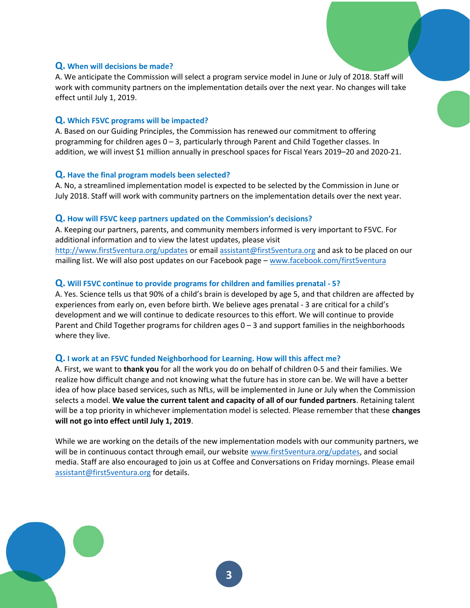## **Q. When will decisions be made?**

A. We anticipate the Commission will select a program service model in June or July of 2018. Staff will work with community partners on the implementation details over the next year. No changes will take effect until July 1, 2019.

## **Q. Which F5VC programs will be impacted?**

A. Based on our Guiding Principles, the Commission has renewed our commitment to offering programming for children ages 0 – 3, particularly through Parent and Child Together classes. In addition, we will invest \$1 million annually in preschool spaces for Fiscal Years 2019–20 and 2020-21.

### **Q. Have the final program models been selected?**

A. No, a streamlined implementation model is expected to be selected by the Commission in June or July 2018. Staff will work with community partners on the implementation details over the next year.

### **Q. How will F5VC keep partners updated on the Commission's decisions?**

A. Keeping our partners, parents, and community members informed is very important to F5VC. For additional information and to view the latest updates, please visit http://www.first5ventura.org/updates or email assistant@first5ventura.org and ask to be placed on our mailing list. We will also post updates on our Facebook page – www.facebook.com/first5ventura

## **Q. Will F5VC continue to provide programs for children and families prenatal - 5?**

A. Yes. Science tells us that 90% of a child's brain is developed by age 5, and that children are affected by experiences from early on, even before birth. We believe ages prenatal - 3 are critical for a child's development and we will continue to dedicate resources to this effort. We will continue to provide Parent and Child Together programs for children ages  $0 - 3$  and support families in the neighborhoods where they live.

### **Q. I work at an F5VC funded Neighborhood for Learning. How will this affect me?**

A. First, we want to **thank you** for all the work you do on behalf of children 0-5 and their families. We realize how difficult change and not knowing what the future has in store can be. We will have a better idea of how place based services, such as NfLs, will be implemented in June or July when the Commission selects a model. **We value the current talent and capacity of all of our funded partners**. Retaining talent will be a top priority in whichever implementation model is selected. Please remember that these **changes will not go into effect until July 1, 2019**.

While we are working on the details of the new implementation models with our community partners, we will be in continuous contact through email, our website www.first5ventura.org/updates, and social media. Staff are also encouraged to join us at Coffee and Conversations on Friday mornings. Please email assistant@first5ventura.org for details.